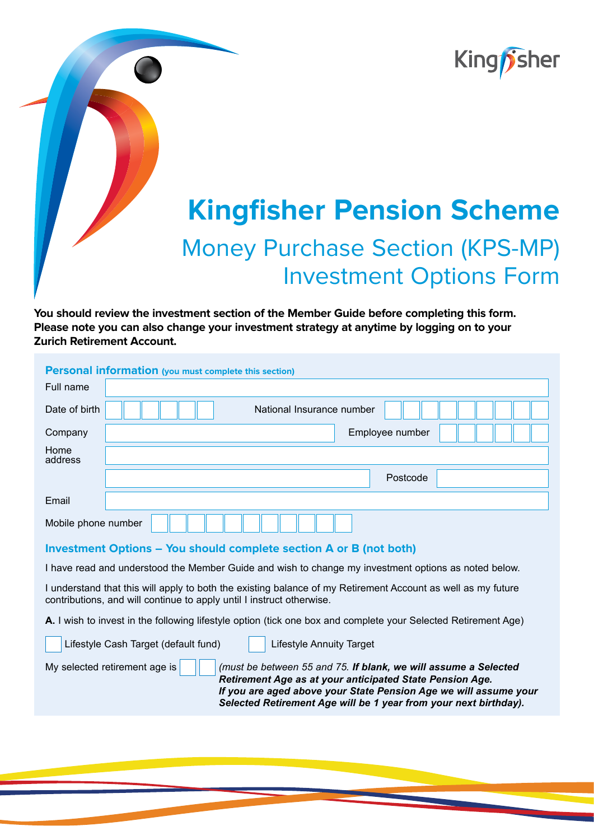

# **Kingfisher Pension Scheme** Money Purchase Section (KPS-MP) Investment Options Form

**You should review the investment section of the Member Guide before completing this form. Please note you can also change your investment strategy at anytime by logging on to your Zurich Retirement Account.**

| <b>Personal information (you must complete this section)</b>                                                                                                                          |                           |  |  |  |  |  |
|---------------------------------------------------------------------------------------------------------------------------------------------------------------------------------------|---------------------------|--|--|--|--|--|
| Full name                                                                                                                                                                             |                           |  |  |  |  |  |
| Date of birth                                                                                                                                                                         | National Insurance number |  |  |  |  |  |
| Company                                                                                                                                                                               | Employee number           |  |  |  |  |  |
| Home<br>address                                                                                                                                                                       |                           |  |  |  |  |  |
|                                                                                                                                                                                       | Postcode                  |  |  |  |  |  |
| Email                                                                                                                                                                                 |                           |  |  |  |  |  |
| Mobile phone number                                                                                                                                                                   |                           |  |  |  |  |  |
| Investment Options - You should complete section A or B (not both)                                                                                                                    |                           |  |  |  |  |  |
| I have read and understood the Member Guide and wish to change my investment options as noted below.                                                                                  |                           |  |  |  |  |  |
| I understand that this will apply to both the existing balance of my Retirement Account as well as my future<br>contributions, and will continue to apply until I instruct otherwise. |                           |  |  |  |  |  |

**A.** I wish to invest in the following lifestyle option (tick one box and complete your Selected Retirement Age)

| Lifestyle Cash Target (default fund) | <b>Lifestyle Annuity Target</b>                                                                                                                                                                                                                                     |
|--------------------------------------|---------------------------------------------------------------------------------------------------------------------------------------------------------------------------------------------------------------------------------------------------------------------|
| My selected retirement age is        | (must be between 55 and 75. If blank, we will assume a Selected<br>Retirement Age as at your anticipated State Pension Age.<br>If you are aged above your State Pension Age we will assume your<br>Selected Retirement Age will be 1 year from your next birthday). |